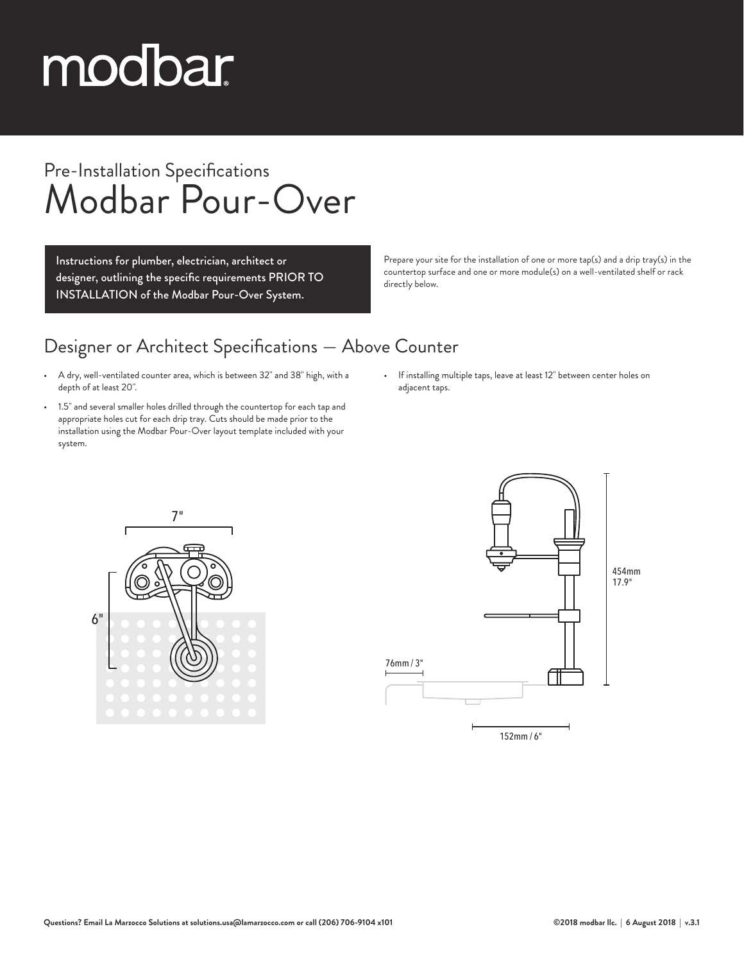# modbar

### Pre-Installation Specifications Modbar Pour-Over

Instructions for plumber, electrician, architect or designer, outlining the specific requirements PRIOR TO INSTALLATION of the Modbar Pour-Over System.

Prepare your site for the installation of one or more tap(s) and a drip tray(s) in the countertop surface and one or more module(s) on a well-ventilated shelf or rack directly below.

#### Designer or Architect Specifications — Above Counter

- A dry, well-ventilated counter area, which is between 32" and 38" high, with a depth of at least 20".
- 1.5" and several smaller holes drilled through the countertop for each tap and appropriate holes cut for each drip tray. Cuts should be made prior to the installation using the Modbar Pour-Over layout template included with your system.
- If installing multiple taps, leave at least 12" between center holes on adjacent taps.



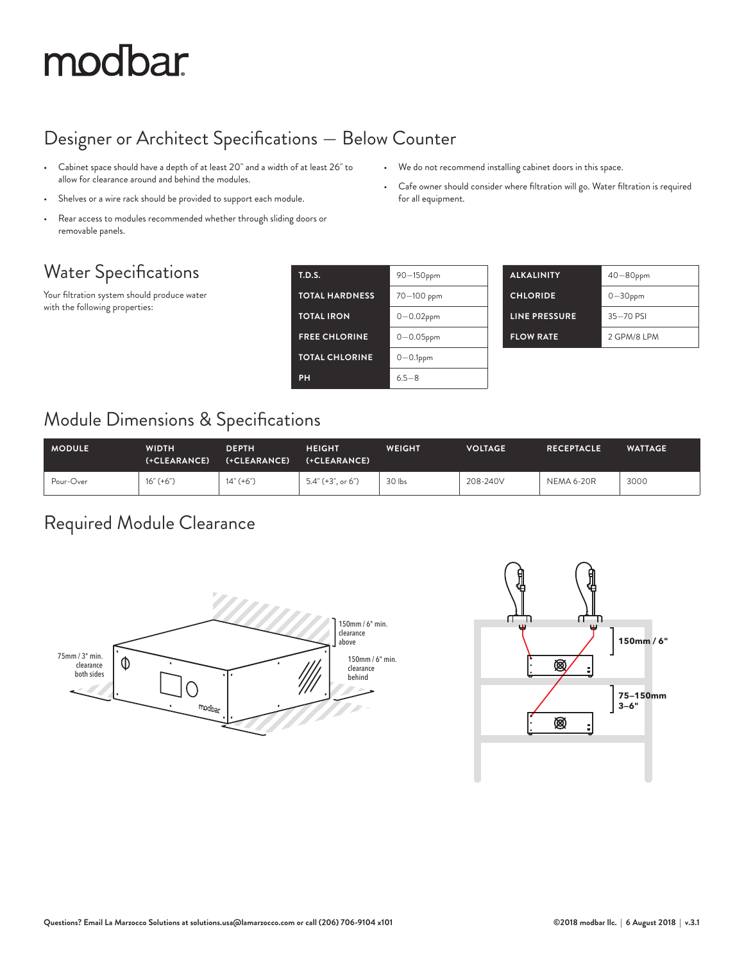## modbar

#### Designer or Architect Specifications — Below Counter

- Cabinet space should have a depth of at least 20" and a width of at least 26" to allow for clearance around and behind the modules.
- Shelves or a wire rack should be provided to support each module.
- Rear access to modules recommended whether through sliding doors or removable panels.

#### Water Specifications

Your filtration system should produce water with the following properties:

| <b>T.D.S.</b>         | 90-150ppm      |
|-----------------------|----------------|
| <b>TOTAL HARDNESS</b> | 70-100 ppm     |
| <b>TOTAL IRON</b>     | $0 - 0.02$ ppm |
| <b>FREE CHLORINE</b>  | $0 - 0.05$ ppm |
| <b>TOTAL CHLORINE</b> | $0-0.1$ ppm    |
| PH                    | $65 - 8$       |

for all equipment.

| <b>ALKALINITY</b>    | $40 - 80$ ppm |
|----------------------|---------------|
| <b>CHLORIDE</b>      | $0 - 30$ ppm  |
| <b>LINE PRESSURE</b> | $35 - 70$ PSI |
| <b>FLOW RATE</b>     | 2 GPM/8 LPM   |

• We do not recommend installing cabinet doors in this space.

• Cafe owner should consider where filtration will go. Water filtration is required

#### Module Dimensions & Specifications

| <b>MODULE</b> | WIDTH<br>(+CLEARANCE) | <b>DEPTH</b><br>(+CLEARANCE) | <b>HEIGHT</b><br>(+CLEARANCE) | <b>WEIGHT</b> | <b>VOLTAGE</b> | <b>RECEPTACLE</b> | <b>WATTAGE</b> |
|---------------|-----------------------|------------------------------|-------------------------------|---------------|----------------|-------------------|----------------|
| Pour-Over     | $16" (+6")$           | $14" (+6")$                  | $5.4'' (+3'', or 6'')$        | 30 lbs        | 208-240V       | <b>NEMA 6-20R</b> | 3000           |

#### Required Module Clearance